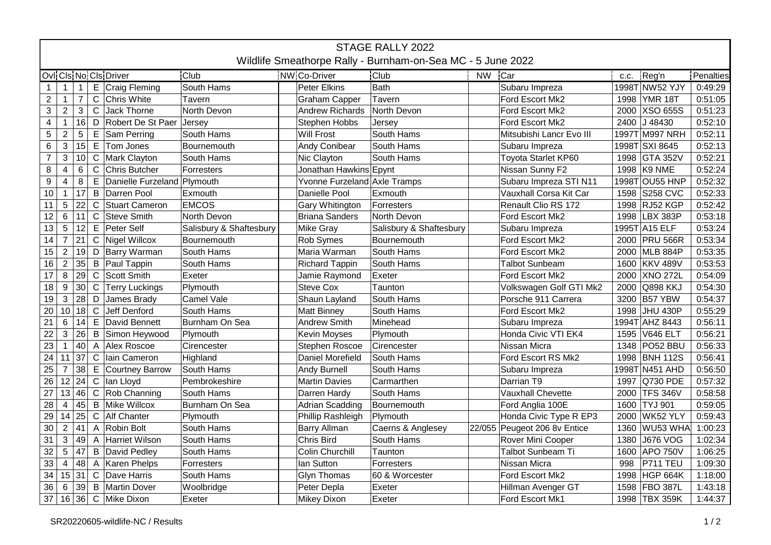| STAGE RALLY 2022<br>Wildlife Smeathorpe Rally - Burnham-on-Sea MC - 5 June 2022 |                 |                |              |                             |                         |  |                              |                         |           |                              |      |                 |           |
|---------------------------------------------------------------------------------|-----------------|----------------|--------------|-----------------------------|-------------------------|--|------------------------------|-------------------------|-----------|------------------------------|------|-----------------|-----------|
|                                                                                 |                 |                |              |                             |                         |  |                              |                         |           |                              |      |                 |           |
|                                                                                 |                 |                |              | Ovi Cis No Cis Driver       | Club                    |  | NW Co-Driver                 | <b>Club</b>             | <b>NW</b> | Car                          | C.C. | Reg'n           | Penalties |
| $\mathbf 1$                                                                     | $\overline{1}$  | $\mathbf{1}$   |              | E Craig Fleming             | South Hams              |  | Peter Elkins                 | Bath                    |           | Subaru Impreza               |      | 1998T NW52 YJY  | 0:49:29   |
| $\overline{2}$                                                                  | $\mathbf{1}$    | $\overline{7}$ | $\mathsf{C}$ | Chris White                 | Tavern                  |  | <b>Graham Capper</b>         | Tavern                  |           | Ford Escort Mk2              |      | 1998 YMR 18T    | 0:51:05   |
| 3                                                                               | $\overline{2}$  | $\mathbf{3}$   | $\mathsf C$  | Jack Thorne                 | North Devon             |  | <b>Andrew Richards</b>       | North Devon             |           | <b>Ford Escort Mk2</b>       | 2000 | <b>XSO 655S</b> | 0:51:23   |
| $\overline{\mathbf{4}}$                                                         | $\mathbf{1}$    | 16             |              | D Robert De St Paer         | Jersey                  |  | Stephen Hobbs                | Jersey                  |           | Ford Escort Mk2              |      | 2400 J 48430    | 0:52:10   |
| 5                                                                               | $\overline{2}$  | $\sqrt{5}$     |              | $E$ Sam Perring             | South Hams              |  | <b>Will Frost</b>            | South Hams              |           | Mitsubishi Lancr Evo III     |      | 1997T M997 NRH  | 0:52:11   |
| 6                                                                               | 3               | 15             |              | $E$ Tom Jones               | Bournemouth             |  | Andy Conibear                | South Hams              |           | Subaru Impreza               |      | 1998T SXI 8645  | 0:52:13   |
| $\overline{7}$                                                                  | $\mathbf{3}$    | 10             | $\mathsf{C}$ | Mark Clayton                | South Hams              |  | Nic Clayton                  | South Hams              |           | Toyota Starlet KP60          |      | 1998 GTA 352V   | 0:52:21   |
| 8                                                                               | 4               | 6              | C            | Chris Butcher               | Forresters              |  | Jonathan Hawkins Epynt       |                         |           | Nissan Sunny F2              |      | 1998 K9 NME     | 0:52:24   |
| 9                                                                               | $\overline{4}$  | 8              | E            | Danielle Furzeland Plymouth |                         |  | Yvonne Furzeland Axle Tramps |                         |           | Subaru Impreza STI N11       |      | 1998T OU55 HNP  | 0:52:32   |
| 10 <sub>1</sub>                                                                 | $\mathbf{1}$    | 17             | $\mathsf B$  | Darren Pool                 | Exmouth                 |  | Danielle Pool                | Exmouth                 |           | Vauxhall Corsa Kit Car       |      | 1598 S258 CVC   | 0:52:33   |
| 11                                                                              | $\overline{5}$  | 22             | $\mathsf{C}$ | Stuart Cameron              | <b>EMCOS</b>            |  | Gary Whitington              | Forresters              |           | Renault Clio RS 172          |      | 1998 RJ52 KGP   | 0:52:42   |
| 12 <sup>°</sup>                                                                 | $\,6\,$         | 11             | $\mathsf{C}$ | Steve Smith                 | North Devon             |  | Briana Sanders               | North Devon             |           | Ford Escort Mk2              | 1998 | <b>LBX 383P</b> | 0:53:18   |
| 13                                                                              | $\overline{5}$  | 12             | $\mathsf E$  | Peter Self                  | Salisbury & Shaftesbury |  | Mike Gray                    | Salisbury & Shaftesbury |           | Subaru Impreza               |      | 1995T A15 ELF   | 0:53:24   |
| $\overline{14}$                                                                 | $\overline{7}$  | 21             |              | C Nigel Willcox             | Bournemouth             |  | Rob Symes                    | Bournemouth             |           | Ford Escort Mk2              |      | 2000 PRU 566R   | 0:53:34   |
| 15 <sub>1</sub>                                                                 | $\overline{2}$  | 19             |              | D   Barry Warman            | South Hams              |  | Maria Warman                 | South Hams              |           | Ford Escort Mk2              | 2000 | MLB 884P        | 0:53:35   |
| 16                                                                              | $\overline{2}$  | 35             |              | B   Paul Tappin             | South Hams              |  | <b>Richard Tappin</b>        | South Hams              |           | <b>Talbot Sunbeam</b>        |      | 1600 KKV 489V   | 0:53:53   |
| 17                                                                              | 8               | 29             | $\mathsf C$  | Scott Smith                 | Exeter                  |  | Jamie Raymond                | Exeter                  |           | Ford Escort Mk2              | 2000 | <b>XNO 272L</b> | 0:54:09   |
| 18                                                                              | $9\,$           | 30             |              | C Terry Luckings            | Plymouth                |  | <b>Steve Cox</b>             | Taunton                 |           | Volkswagen Golf GTI Mk2      | 2000 | <b>Q898 KKJ</b> | 0:54:30   |
| 19                                                                              | $\mathsf 3$     | 28             | D            | James Brady                 | Camel Vale              |  | Shaun Layland                | South Hams              |           | Porsche 911 Carrera          | 3200 | <b>B57 YBW</b>  | 0:54:37   |
| 20                                                                              | 10              | 18             | $\mathsf C$  | Jeff Denford                | South Hams              |  | Matt Binney                  | South Hams              |           | Ford Escort Mk2              | 1998 | JHU 430P        | 0:55:29   |
| 21                                                                              | 6               | 14             |              | E David Bennett             | Burnham On Sea          |  | <b>Andrew Smith</b>          | Minehead                |           | Subaru Impreza               |      | 1994T AHZ 8443  | 0:56:11   |
| 22                                                                              | 3               | 26             |              | B Simon Heywood             | Plymouth                |  | Kevin Moyses                 | Plymouth                |           | Honda Civic VTI EK4          | 1595 | <b>V646 ELT</b> | 0:56:21   |
| 23                                                                              | $\overline{1}$  | 40             |              | A Alex Roscoe               | Cirencester             |  | Stephen Roscoe               | Cirencester             |           | Nissan Micra                 | 1348 | PO52 BBU        | 0:56:33   |
| 24                                                                              | $\vert$ 11      | 37             | $\mathsf{C}$ | Iain Cameron                | Highland                |  | Daniel Morefield             | South Hams              |           | Ford Escort RS Mk2           |      | 1998 BNH 112S   | 0:56:41   |
| 25                                                                              | $\overline{7}$  | 38             |              | E Courtney Barrow           | South Hams              |  | Andy Burnell                 | South Hams              |           | Subaru Impreza               |      | 1998T N451 AHD  | 0:56:50   |
| 26                                                                              | 12              | 24             |              | C lan Lloyd                 | Pembrokeshire           |  | <b>Martin Davies</b>         | Carmarthen              |           | Darrian T9                   |      | 1997 Q730 PDE   | 0:57:32   |
| 27                                                                              | 13              | 46             |              | $C$ Rob Channing            | South Hams              |  | Darren Hardy                 | South Hams              |           | <b>Vauxhall Chevette</b>     |      | 2000 TFS 346V   | 0:58:58   |
| 28                                                                              | $\overline{4}$  | 45             |              | <b>B</b> Mike Willcox       | Burnham On Sea          |  | <b>Adrian Scadding</b>       | Bournemouth             |           | Ford Anglia 100E             | 1600 | <b>TYJ 901</b>  | 0:59:05   |
| 29                                                                              | 14              | 25             | $\mathsf C$  | Alf Chanter                 | Plymouth                |  | Phillip Rashleigh            | Plymouth                |           | Honda Civic Type R EP3       | 2000 | WK52 YLY        | 0:59:43   |
| 30                                                                              | $\overline{2}$  | 41             |              | A Robin Bolt                | South Hams              |  | <b>Barry Allman</b>          | Caerns & Anglesey       |           | 22/055 Peugeot 206 8v Entice | 1360 | WU53 WHA        | 1:00:23   |
| 31                                                                              | $\mathbf{3}$    | 49             |              | A Harriet Wilson            | South Hams              |  | Chris Bird                   | South Hams              |           | Rover Mini Cooper            | 1380 | J676 VOG        | 1:02:34   |
| 32                                                                              | $5\phantom{.0}$ | 47             |              | <b>B</b> David Pedley       | South Hams              |  | <b>Colin Churchill</b>       | Taunton                 |           | <b>Talbot Sunbeam Ti</b>     | 1600 | <b>APO 750V</b> | 1:06:25   |
| 33                                                                              | $\overline{4}$  | 48             |              | A Karen Phelps              | Forresters              |  | lan Sutton                   | Forresters              |           | Nissan Micra                 | 998  | <b>P711 TEU</b> | 1:09:30   |
|                                                                                 | 34 15           | 31             |              | C Dave Harris               | South Hams              |  | <b>Glyn Thomas</b>           | 60 & Worcester          |           | Ford Escort Mk2              |      | 1998 HGP 664K   | 1:18:00   |
| 36                                                                              | 6               | 39             |              | <b>B</b> Martin Dover       | Woolbridge              |  | Peter Depla                  | Exeter                  |           | Hillman Avenger GT           |      | 1598 FBO 387L   | 1:43:18   |
| 37 16                                                                           |                 | 36             |              | C Mike Dixon                | Exeter                  |  | Mikey Dixon                  | Exeter                  |           | Ford Escort Mk1              |      | 1998 TBX 359K   | 1:44:37   |